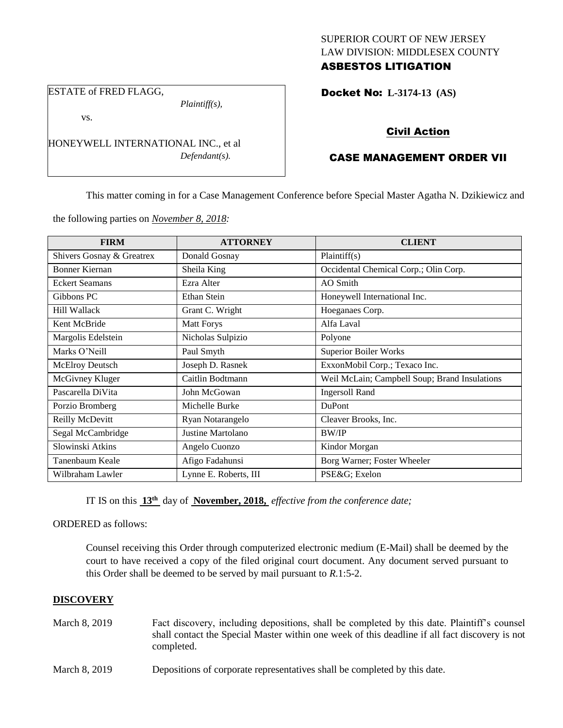## SUPERIOR COURT OF NEW JERSEY LAW DIVISION: MIDDLESEX COUNTY ASBESTOS LITIGATION

ESTATE of FRED FLAGG,

*Plaintiff(s),*

vs.

HONEYWELL INTERNATIONAL INC., et al *Defendant(s).*

## Docket No: **L-3174-13 (AS)**

# Civil Action

## CASE MANAGEMENT ORDER VII

This matter coming in for a Case Management Conference before Special Master Agatha N. Dzikiewicz and

the following parties on *November 8, 2018:*

| <b>FIRM</b>               | <b>ATTORNEY</b>       | <b>CLIENT</b>                                 |  |
|---------------------------|-----------------------|-----------------------------------------------|--|
| Shivers Gosnay & Greatrex | Donald Gosnay         | Plaintiff(s)                                  |  |
| Bonner Kiernan            | Sheila King           | Occidental Chemical Corp.; Olin Corp.         |  |
| <b>Eckert Seamans</b>     | Ezra Alter            | AO Smith                                      |  |
| Gibbons PC                | Ethan Stein           | Honeywell International Inc.                  |  |
| Hill Wallack              | Grant C. Wright       | Hoeganaes Corp.                               |  |
| Kent McBride              | <b>Matt Forys</b>     | Alfa Laval                                    |  |
| Margolis Edelstein        | Nicholas Sulpizio     | Polyone                                       |  |
| Marks O'Neill             | Paul Smyth            | <b>Superior Boiler Works</b>                  |  |
| <b>McElroy Deutsch</b>    | Joseph D. Rasnek      | ExxonMobil Corp.; Texaco Inc.                 |  |
| McGivney Kluger           | Caitlin Bodtmann      | Weil McLain; Campbell Soup; Brand Insulations |  |
| Pascarella DiVita         | John McGowan          | <b>Ingersoll Rand</b>                         |  |
| Porzio Bromberg           | Michelle Burke        | <b>DuPont</b>                                 |  |
| Reilly McDevitt           | Ryan Notarangelo      | Cleaver Brooks, Inc.                          |  |
| Segal McCambridge         | Justine Martolano     | <b>BW/IP</b>                                  |  |
| Slowinski Atkins          | Angelo Cuonzo         | Kindor Morgan                                 |  |
| Tanenbaum Keale           | Afigo Fadahunsi       | Borg Warner; Foster Wheeler                   |  |
| Wilbraham Lawler          | Lynne E. Roberts, III | PSE&G Exelon                                  |  |

IT IS on this **13th** day of **November, 2018,** *effective from the conference date;*

ORDERED as follows:

Counsel receiving this Order through computerized electronic medium (E-Mail) shall be deemed by the court to have received a copy of the filed original court document. Any document served pursuant to this Order shall be deemed to be served by mail pursuant to *R*.1:5-2.

### **DISCOVERY**

- March 8, 2019 Fact discovery, including depositions, shall be completed by this date. Plaintiff's counsel shall contact the Special Master within one week of this deadline if all fact discovery is not completed.
- March 8, 2019 Depositions of corporate representatives shall be completed by this date.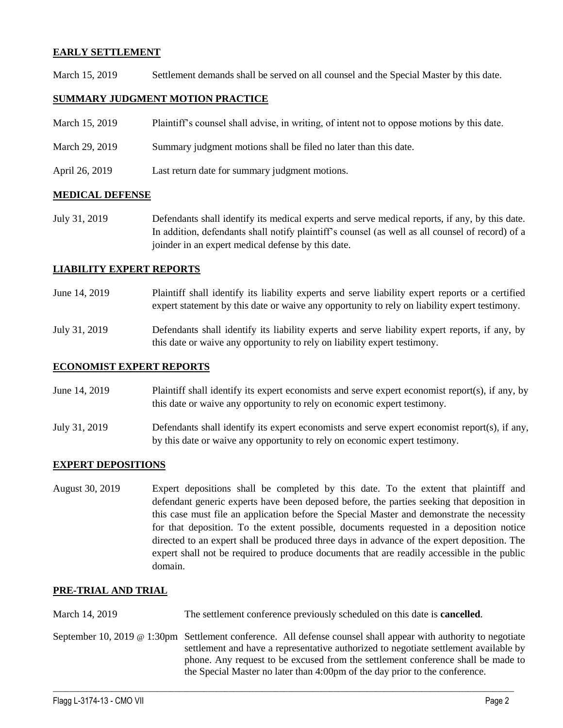## **EARLY SETTLEMENT**

March 15, 2019 Settlement demands shall be served on all counsel and the Special Master by this date.

## **SUMMARY JUDGMENT MOTION PRACTICE**

| March 15, 2019 | Plaintiff's counsel shall advise, in writing, of intent not to oppose motions by this date. |  |  |
|----------------|---------------------------------------------------------------------------------------------|--|--|
|                |                                                                                             |  |  |

- March 29, 2019 Summary judgment motions shall be filed no later than this date.
- April 26, 2019 Last return date for summary judgment motions.

### **MEDICAL DEFENSE**

July 31, 2019 Defendants shall identify its medical experts and serve medical reports, if any, by this date. In addition, defendants shall notify plaintiff's counsel (as well as all counsel of record) of a joinder in an expert medical defense by this date.

## **LIABILITY EXPERT REPORTS**

- June 14, 2019 Plaintiff shall identify its liability experts and serve liability expert reports or a certified expert statement by this date or waive any opportunity to rely on liability expert testimony.
- July 31, 2019 Defendants shall identify its liability experts and serve liability expert reports, if any, by this date or waive any opportunity to rely on liability expert testimony.

### **ECONOMIST EXPERT REPORTS**

- June 14, 2019 Plaintiff shall identify its expert economists and serve expert economist report(s), if any, by this date or waive any opportunity to rely on economic expert testimony.
- July 31, 2019 Defendants shall identify its expert economists and serve expert economist report(s), if any, by this date or waive any opportunity to rely on economic expert testimony.

### **EXPERT DEPOSITIONS**

August 30, 2019 Expert depositions shall be completed by this date. To the extent that plaintiff and defendant generic experts have been deposed before, the parties seeking that deposition in this case must file an application before the Special Master and demonstrate the necessity for that deposition. To the extent possible, documents requested in a deposition notice directed to an expert shall be produced three days in advance of the expert deposition. The expert shall not be required to produce documents that are readily accessible in the public domain.

### **PRE-TRIAL AND TRIAL**

March 14, 2019 The settlement conference previously scheduled on this date is **cancelled**.

September 10, 2019 @ 1:30pm Settlement conference. All defense counsel shall appear with authority to negotiate settlement and have a representative authorized to negotiate settlement available by phone. Any request to be excused from the settlement conference shall be made to the Special Master no later than 4:00pm of the day prior to the conference.

 $\_$  ,  $\_$  ,  $\_$  ,  $\_$  ,  $\_$  ,  $\_$  ,  $\_$  ,  $\_$  ,  $\_$  ,  $\_$  ,  $\_$  ,  $\_$  ,  $\_$  ,  $\_$  ,  $\_$  ,  $\_$  ,  $\_$  ,  $\_$  ,  $\_$  ,  $\_$  ,  $\_$  ,  $\_$  ,  $\_$  ,  $\_$  ,  $\_$  ,  $\_$  ,  $\_$  ,  $\_$  ,  $\_$  ,  $\_$  ,  $\_$  ,  $\_$  ,  $\_$  ,  $\_$  ,  $\_$  ,  $\_$  ,  $\_$  ,